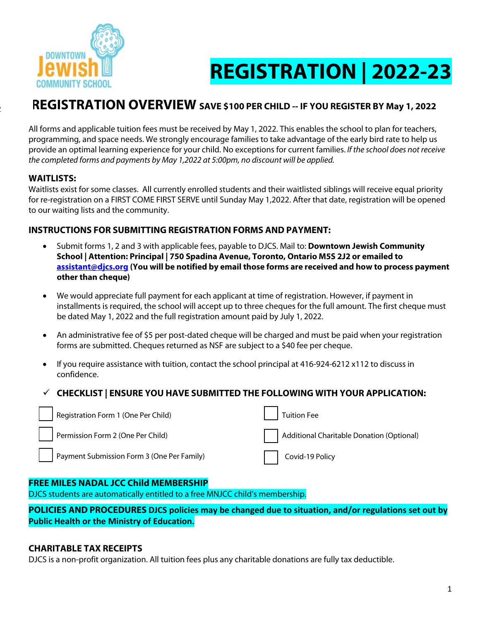

# **REGISTRATION | 2022-23**

# **REGISTRATION OVERVIEW SAVE \$100 PER CHILD -- IF YOU REGISTER BY May 1, 2022**

All forms and applicable tuition fees must be received by May 1, 2022. This enables the school to plan for teachers, programming, and space needs. We strongly encourage families to take advantage of the early bird rate to help us provide an optimal learning experience for your child. No exceptions for current families. *If the school does not receive the completed forms and payments by May 1,2022 at 5:00pm, no discount will be applied.*

# **WAITLISTS:**

 $\frac{1}{2}$ 

Waitlists exist for some classes. All currently enrolled students and their waitlisted siblings will receive equal priority for re-registration on a FIRST COME FIRST SERVE until Sunday May 1,2022. After that date, registration will be opened to our waiting lists and the community.

# **INSTRUCTIONS FOR SUBMITTING REGISTRATION FORMS AND PAYMENT:**

- Submit forms 1, 2 and 3 with applicable fees, payable to DJCS. Mail to: **Downtown Jewish Community School | Attention: Principal | 750 Spadina Avenue, Toronto, Ontario M5S 2J2 or emailed to assistant@djcs.org (You will be notified by email those forms are received and how to process payment other than cheque)**
- We would appreciate full payment for each applicant at time of registration. However, if payment in installments is required, the school will accept up to three cheques for the full amount. The first cheque must be dated May 1, 2022 and the full registration amount paid by July 1, 2022.
- An administrative fee of \$5 per post-dated cheque will be charged and must be paid when your registration forms are submitted. Cheques returned as NSF are subject to a \$40 fee per cheque.
- If you require assistance with tuition, contact the school principal at 416-924-6212 x112 to discuss in confidence.

# ü **CHECKLIST | ENSURE YOU HAVE SUBMITTED THE FOLLOWING WITH YOUR APPLICATION:**

| Registration Form 1 (One Per Child)        | <b>Tuition Fee</b>                        |
|--------------------------------------------|-------------------------------------------|
| Permission Form 2 (One Per Child)          | Additional Charitable Donation (Optional) |
| Payment Submission Form 3 (One Per Family) | Covid-19 Policy                           |

# **FREE MILES NADAL JCC Child MEMBERSHIP**

DJCS students are automatically entitled to a free MNJCC child's membership.

**POLICIES AND PROCEDURES DJCS policies may be changed due to situation, and/or regulations set out by Public Health or the Ministry of Education.** 

# **CHARITABLE TAX RECEIPTS**

DJCS is a non-profit organization. All tuition fees plus any charitable donations are fully tax deductible.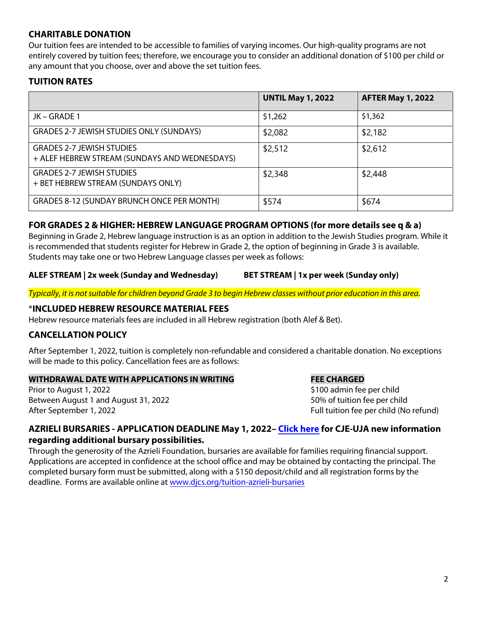# **CHARITABLE DONATION**

Our tuition fees are intended to be accessible to families of varying incomes. Our high-quality programs are not entirely covered by tuition fees; therefore, we encourage you to consider an additional donation of \$100 per child or any amount that you choose, over and above the set tuition fees.

# **TUITION RATES**

|                                                                                   | <b>UNTIL May 1, 2022</b> | <b>AFTER May 1, 2022</b> |
|-----------------------------------------------------------------------------------|--------------------------|--------------------------|
| JK-GRADE 1                                                                        | \$1,262                  | \$1,362                  |
| <b>GRADES 2-7 JEWISH STUDIES ONLY (SUNDAYS)</b>                                   | \$2,082                  | \$2,182                  |
| <b>GRADES 2-7 JEWISH STUDIES</b><br>+ ALEF HEBREW STREAM (SUNDAYS AND WEDNESDAYS) | \$2,512                  | \$2,612                  |
| <b>GRADES 2-7 JEWISH STUDIES</b><br>+ BET HEBREW STREAM (SUNDAYS ONLY)            | \$2,348                  | \$2,448                  |
| GRADES 8-12 (SUNDAY BRUNCH ONCE PER MONTH)                                        | \$574                    | \$674                    |

### **FOR GRADES 2 & HIGHER: HEBREW LANGUAGE PROGRAM OPTIONS (for more details see q & a)**

Beginning in Grade 2, Hebrew language instruction is as an option in addition to the Jewish Studies program. While it is recommended that students register for Hebrew in Grade 2, the option of beginning in Grade 3 is available. Students may take one or two Hebrew Language classes per week as follows:

#### **ALEF STREAM | 2x week (Sunday and Wednesday) BET STREAM | 1x per week (Sunday only)**

*Typically, it is not suitable for children beyond Grade 3 to begin Hebrew classes without prior education in this area.*

### \***INCLUDED HEBREW RESOURCE MATERIAL FEES**

Hebrew resource materials fees are included in all Hebrew registration (both Alef & Bet).

### **CANCELLATION POLICY**

After September 1, 2022, tuition is completely non-refundable and considered a charitable donation. No exceptions will be made to this policy. Cancellation fees are as follows:

#### **WITHDRAWAL DATE WITH APPLICATIONS IN WRITING FEE CHARGED**

Prior to August 1, 2022 **1999 12: 100 admin fee per child** Between August 1 and August 31, 2022 **50%** of tuition fee per child After September 1, 2022 **Full tuition fee per child (No refund)** Full tuition fee per child (No refund)

### **AZRIELI BURSARIES - APPLICATION DEADLINE May 1, 2022– [Click here fo](https://2761d0f4-d331-47f2-b371-a5751e192028.usrfiles.com/ugd/2761d0_57d45b4efb334ba3bfe244330031913b.pdf)r CJE-UJA new information regarding additional bursary possibilities.**

Through the generosity of the Azrieli Foundation, bursaries are available for families requiring financial support. Applications are accepted in confidence at the school office and may be obtained by contacting the principal. The completed bursary form must be submitted, along with a \$150 deposit/child and all registration forms by the deadline. Forms are available online at <www.djcs.org/tuition-azrieli-bursaries>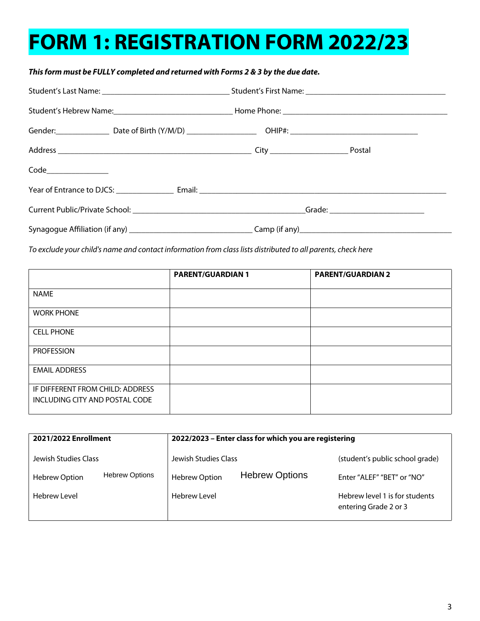# **FORM 1: REGISTRATION FORM 2022/23**

# *This form must be FULLY completed and returned with Forms 2 & 3 by the due date.*

*To exclude your child's name and contact information from class lists distributed to all parents, check here* 

|                                                                    | <b>PARENT/GUARDIAN 1</b> | <b>PARENT/GUARDIAN 2</b> |
|--------------------------------------------------------------------|--------------------------|--------------------------|
| <b>NAME</b>                                                        |                          |                          |
| <b>WORK PHONE</b>                                                  |                          |                          |
| <b>CELL PHONE</b>                                                  |                          |                          |
| <b>PROFESSION</b>                                                  |                          |                          |
| <b>EMAIL ADDRESS</b>                                               |                          |                          |
| IF DIFFERENT FROM CHILD: ADDRESS<br>INCLUDING CITY AND POSTAL CODE |                          |                          |

| 2021/2022 Enrollment                          | 2022/2023 - Enter class for which you are registering |                                                         |
|-----------------------------------------------|-------------------------------------------------------|---------------------------------------------------------|
| Jewish Studies Class                          | Jewish Studies Class                                  | (student's public school grade)                         |
| <b>Hebrew Options</b><br><b>Hebrew Option</b> | <b>Hebrew Options</b><br><b>Hebrew Option</b>         | Enter "ALEF" "BET" or "NO"                              |
| <b>Hebrew Level</b>                           | <b>Hebrew Level</b>                                   | Hebrew level 1 is for students<br>entering Grade 2 or 3 |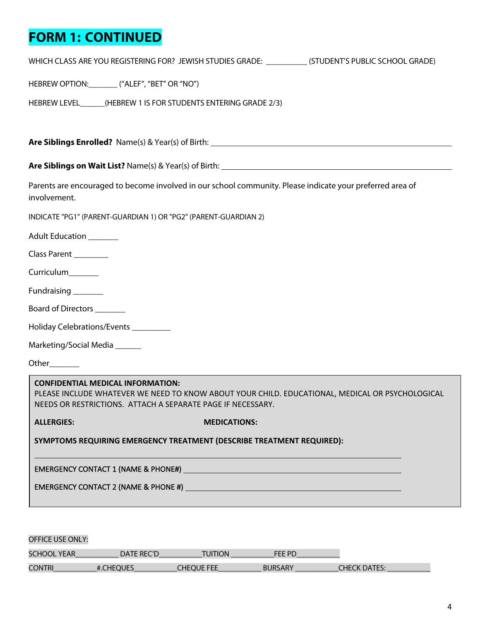# **FORM 1: CONTINUED**

|                               | WHICH CLASS ARE YOU REGISTERING FOR? JEWISH STUDIES GRADE: ____________(STUDENT'S PUBLIC SCHOOL GRADE)                                                                                                     |                                                                                                                       |  |
|-------------------------------|------------------------------------------------------------------------------------------------------------------------------------------------------------------------------------------------------------|-----------------------------------------------------------------------------------------------------------------------|--|
|                               | HEBREW OPTION: ________ ("ALEF", "BET" OR "NO")                                                                                                                                                            |                                                                                                                       |  |
|                               | HEBREW LEVEL_______(HEBREW 1 IS FOR STUDENTS ENTERING GRADE 2/3)                                                                                                                                           |                                                                                                                       |  |
|                               |                                                                                                                                                                                                            |                                                                                                                       |  |
|                               |                                                                                                                                                                                                            |                                                                                                                       |  |
| involvement.                  | Parents are encouraged to become involved in our school community. Please indicate your preferred area of                                                                                                  |                                                                                                                       |  |
|                               | INDICATE "PG1" (PARENT-GUARDIAN 1) OR "PG2" (PARENT-GUARDIAN 2)                                                                                                                                            |                                                                                                                       |  |
| Adult Education _______       |                                                                                                                                                                                                            |                                                                                                                       |  |
| Class Parent ________         |                                                                                                                                                                                                            |                                                                                                                       |  |
| Curriculum_______             |                                                                                                                                                                                                            |                                                                                                                       |  |
| Fundraising _______           |                                                                                                                                                                                                            |                                                                                                                       |  |
| Board of Directors _______    |                                                                                                                                                                                                            |                                                                                                                       |  |
|                               | Holiday Celebrations/Events ________                                                                                                                                                                       |                                                                                                                       |  |
| Marketing/Social Media ______ |                                                                                                                                                                                                            |                                                                                                                       |  |
| Other                         |                                                                                                                                                                                                            |                                                                                                                       |  |
|                               | <b>CONFIDENTIAL MEDICAL INFORMATION:</b><br>PLEASE INCLUDE WHATEVER WE NEED TO KNOW ABOUT YOUR CHILD. EDUCATIONAL, MEDICAL OR PSYCHOLOGICAL<br>NEEDS OR RESTRICTIONS. ATTACH A SEPARATE PAGE IF NECESSARY. |                                                                                                                       |  |
| <b>ALLERGIES:</b>             |                                                                                                                                                                                                            | <b>MEDICATIONS:</b>                                                                                                   |  |
|                               | SYMPTOMS REQUIRING EMERGENCY TREATMENT (DESCRIBE TREATMENT REQUIRED):                                                                                                                                      |                                                                                                                       |  |
|                               |                                                                                                                                                                                                            |                                                                                                                       |  |
|                               | <b>EMERGENCY CONTACT 2 (NAME &amp; PHONE #)</b>                                                                                                                                                            | <u> 1989 - Johann Barn, mars ann an t-Amhain Aonaich ann an t-Aonaich ann an t-Aonaich ann an t-Aonaich ann an t-</u> |  |
|                               |                                                                                                                                                                                                            |                                                                                                                       |  |
|                               |                                                                                                                                                                                                            |                                                                                                                       |  |

| <b>OFFICE USE ONLY:</b> |            |                |                |                     |
|-------------------------|------------|----------------|----------------|---------------------|
| SCHOOL YEAR             | DATE REC'D | <b>TUITION</b> | FFF PD         |                     |
| <b>CONTRI</b>           | #.CHEQUES  | CHEOUE FEE     | <b>BURSARY</b> | <b>CHECK DATES:</b> |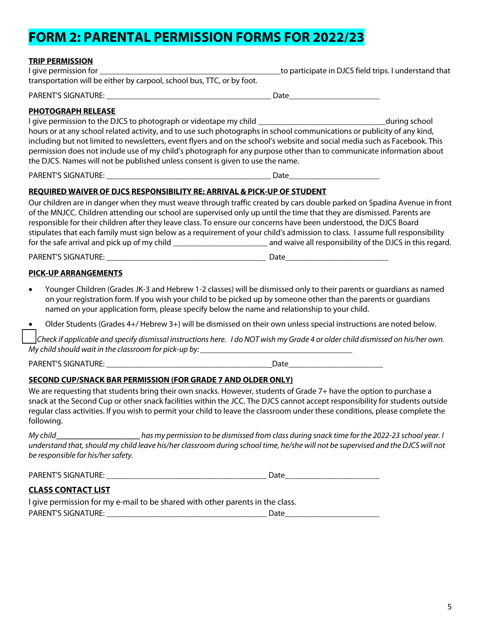# **FORM 2: PARENTAL PERMISSION FORMS FOR 2022/23**

| <b>TRIP PERMISSION</b><br>I give permission for ____________<br>transportation will be either by carpool, school bus, TTC, or by foot.                                                                                                                                                                                                                                                                                                                                                                                                                                                              | to participate in DJCS field trips. I understand that |
|-----------------------------------------------------------------------------------------------------------------------------------------------------------------------------------------------------------------------------------------------------------------------------------------------------------------------------------------------------------------------------------------------------------------------------------------------------------------------------------------------------------------------------------------------------------------------------------------------------|-------------------------------------------------------|
| <b>PHOTOGRAPH RELEASE</b><br>I give permission to the DJCS to photograph or videotape my child _________________________________<br>hours or at any school related activity, and to use such photographs in school communications or publicity of any kind,<br>including but not limited to newsletters, event flyers and on the school's website and social media such as Facebook. This<br>permission does not include use of my child's photograph for any purpose other than to communicate information about<br>the DJCS. Names will not be published unless consent is given to use the name. | during school                                         |
|                                                                                                                                                                                                                                                                                                                                                                                                                                                                                                                                                                                                     |                                                       |
| <b>REQUIRED WAIVER OF DJCS RESPONSIBILITY RE: ARRIVAL &amp; PICK-UP OF STUDENT</b><br>Our children are in danger when they must weave through traffic created by cars double parked on Spadina Avenue in front<br>of the MNJCC. Children attending our school are supervised only up until the time that they are dismissed. Parents are<br>responsible for their children after they leave class. To ensure our concerns have been understood, the DJCS Board<br>stipulates that each family must sign below as a requirement of your child's admission to class. I assume full responsibility     |                                                       |
|                                                                                                                                                                                                                                                                                                                                                                                                                                                                                                                                                                                                     |                                                       |
| <b>PICK-UP ARRANGEMENTS</b>                                                                                                                                                                                                                                                                                                                                                                                                                                                                                                                                                                         |                                                       |
| Younger Children (Grades JK-3 and Hebrew 1-2 classes) will be dismissed only to their parents or quardians as named<br>$\bullet$<br>on your registration form. If you wish your child to be picked up by someone other than the parents or guardians<br>named on your application form, please specify below the name and relationship to your child.                                                                                                                                                                                                                                               |                                                       |
| Older Students (Grades 4+/Hebrew 3+) will be dismissed on their own unless special instructions are noted below.                                                                                                                                                                                                                                                                                                                                                                                                                                                                                    |                                                       |
| Check if applicable and specify dismissal instructions here. I do NOT wish my Grade 4 or older child dismissed on his/her own.<br>My child should wait in the classroom for pick-up by:                                                                                                                                                                                                                                                                                                                                                                                                             |                                                       |

PARENT'S SIGNATURE: \_\_\_\_\_\_\_\_\_\_\_\_\_\_\_\_\_\_\_\_\_\_\_\_\_\_\_\_\_\_\_\_\_\_\_\_\_\_\_ Date\_\_\_\_\_\_\_\_\_\_\_\_\_\_\_\_\_\_\_\_\_\_\_

#### **SECOND CUP/SNACK BAR PERMISSION (FOR GRADE 7 AND OLDER ONLY)**

We are requesting that students bring their own snacks. However, students of Grade 7+ have the option to purchase a snack at the Second Cup or other snack facilities within the JCC. The DJCS cannot accept responsibility for students outside regular class activities. If you wish to permit your child to leave the classroom under these conditions, please complete the following.

*My child \_\_\_\_\_\_\_\_\_\_\_\_\_\_\_\_*\_\_\_\_ *has my permission to be dismissed from class during snack time for the 2022-23 school year. I understand that, should my child leave his/her classroom during school time, he/she will not be supervised and the DJCS will not be responsible for his/her safety.*

PARENT'S SIGNATURE: \_\_\_\_\_\_\_\_\_\_\_\_\_\_\_\_\_\_\_\_\_\_\_\_\_\_\_\_\_\_\_\_\_\_\_\_\_\_\_ Date\_\_\_\_\_\_\_\_\_\_\_\_\_\_\_\_\_\_\_\_\_\_\_

# **CLASS CONTACT LIST**

|                            | I give permission for my e-mail to be shared with other parents in the class. |
|----------------------------|-------------------------------------------------------------------------------|
| <b>PARENT'S SIGNATURE:</b> | Date                                                                          |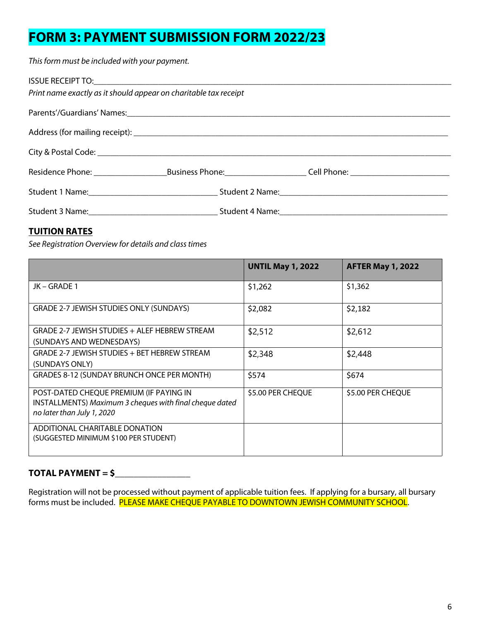# **FORM 3: PAYMENT SUBMISSION FORM 2022/23**

This form must be included with your payment.

| Print name exactly as it should appear on charitable tax receipt |  |
|------------------------------------------------------------------|--|
|                                                                  |  |
|                                                                  |  |
|                                                                  |  |
|                                                                  |  |
|                                                                  |  |
|                                                                  |  |

# **TUITION RATES**

*See Registration Overview for details and class times*

|                                                                                                                                  | <b>UNTIL May 1, 2022</b> | <b>AFTER May 1, 2022</b> |
|----------------------------------------------------------------------------------------------------------------------------------|--------------------------|--------------------------|
| JK – GRADE 1                                                                                                                     | \$1,262                  | \$1,362                  |
| GRADE 2-7 JEWISH STUDIES ONLY (SUNDAYS)                                                                                          | \$2,082                  | \$2,182                  |
| GRADE 2-7 JEWISH STUDIES + ALEF HEBREW STREAM<br>(SUNDAYS AND WEDNESDAYS)                                                        | \$2,512                  | \$2,612                  |
| GRADE 2-7 JEWISH STUDIES + BET HEBREW STREAM<br>(SUNDAYS ONLY)                                                                   | \$2,348                  | \$2,448                  |
| GRADES 8-12 (SUNDAY BRUNCH ONCE PER MONTH)                                                                                       | \$574                    | \$674                    |
| POST-DATED CHEQUE PREMIUM (IF PAYING IN<br>INSTALLMENTS) Maximum 3 cheques with final cheque dated<br>no later than July 1, 2020 | \$5.00 PER CHEQUE        | \$5.00 PER CHEQUE        |
| ADDITIONAL CHARITABLE DONATION<br>(SUGGESTED MINIMUM \$100 PER STUDENT)                                                          |                          |                          |

# **TOTAL PAYMENT = \$\_\_\_\_\_\_\_\_\_\_\_\_\_\_\_\_**

Registration will not be processed without payment of applicable tuition fees. If applying for a bursary, all bursary forms must be included. <mark>PLEASE MAKE CHEQUE PAYABLE TO DOWNTOWN JEWISH COMMUNITY SCHOOL</mark>.